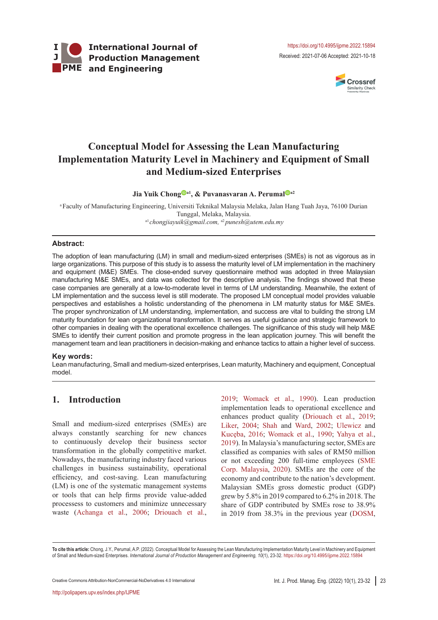



# **Conceptual Model for Assessing the Lean Manufacturing Implementation Maturity Level in Machinery and Equipment of Small and Medium-sized Enterprises**

**Jia Yuik Chon[g](https://orcid.org/0000-0003-3822-415X) a1, & Puvanasvaran A. Peruma[l](http://orcid.org/0000-0002-2144-6277) a2**

aFaculty of Manufacturing Engineering, Universiti Teknikal Malaysia Melaka, Jalan Hang Tuah Jaya, 76100 Durian Tunggal, Melaka, Malaysia. a1*chongjiayuik@gmail.com,* a2 *punesh@utem.edu.my*

#### **Abstract:**

The adoption of lean manufacturing (LM) in small and medium-sized enterprises (SMEs) is not as vigorous as in large organizations. This purpose of this study is to assess the maturity level of LM implementation in the machinery and equipment (M&E) SMEs. The close-ended survey questionnaire method was adopted in three Malaysian manufacturing M&E SMEs, and data was collected for the descriptive analysis. The findings showed that these case companies are generally at a low-to-moderate level in terms of LM understanding. Meanwhile, the extent of LM implementation and the success level is still moderate. The proposed LM conceptual model provides valuable perspectives and establishes a holistic understanding of the phenomena in LM maturity status for M&E SMEs. The proper synchronization of LM understanding, implementation, and success are vital to building the strong LM maturity foundation for lean organizational transformation. It serves as useful guidance and strategic framework to other companies in dealing with the operational excellence challenges. The significance of this study will help M&E SMEs to identify their current position and promote progress in the lean application journey. This will benefit the management team and lean practitioners in decision-making and enhance tactics to attain a higher level of success.

#### **Key words:**

Lean manufacturing, Small and medium-sized enterprises, Lean maturity, Machinery and equipment, Conceptual model.

## **1. Introduction**

Small and medium-sized enterprises (SMEs) are always constantly searching for new chances to continuously develop their business sector transformation in the globally competitive market. Nowadays, the manufacturing industry faced various challenges in business sustainability, operational efficiency, and cost-saving. Lean manufacturing (LM) is one of the systematic management systems or tools that can help firms provide value-added processess to customers and minimize unnecessary waste [\(Achanga et](#page-7-0) al., 2006; [Driouach et](#page-8-0) al.,

[2019;](#page-8-0) [Womack et](#page-9-0) al., 1990). Lean production implementation leads to operational excellence and enhances product quality ([Driouach et](#page-8-0) al., 2019; Liker[, 2004](#page-8-1); [Shah and Ward, 2002;](#page-9-1) [Ulewicz and](#page-9-2) Kucęba, 2016; [Womack et](#page-9-0) al., 1990; [Yahya et](#page-9-3) al., [2019\)](#page-9-3). In Malaysia's manufacturing sector, SMEs are classified as companies with sales of RM50 million or not exceeding 200 full-time employees ([SME](#page-9-4) [Corp. Malaysia, 2020](#page-9-4)). SMEs are the core of the economy and contribute to the nation's development. Malaysian SMEs gross domestic product (GDP) grew by 5.8% in 2019 compared to 6.2% in 2018. The share of GDP contributed by SMEs rose to 38.9% in 2019 from 38.3% in the previous year ([DOSM,](#page-8-2)

**To cite this article:** Chong, J.Y., Perumal, A.P. (2022). Conceptual Model for Assessing the Lean Manufacturing Implementation Maturity Level in Machinery and Equipment of Small and Medium-sized Enterprises. *International Journal of Production Management and Engineering, 10*(1), 23-32. https://doi.org/10.4995/ijpme.2022.15894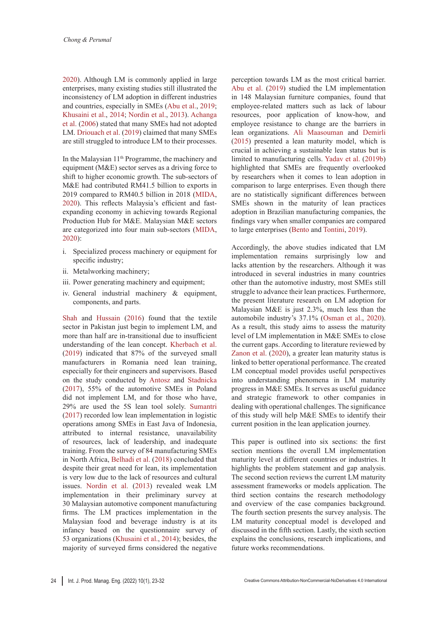[2020](#page-8-2)). Although LM is commonly applied in large enterprises, many existing studies still illustrated the inconsistency of LM adoption in different industries and countries, especially in SMEs (Abu et [al., 2019](#page-7-1); [Khusaini et](#page-8-3) al., 2014; [Nordin et](#page-8-4) al., 2013). [Achanga](#page-7-0)  et [al. \(2006](#page-7-0)) stated that many SMEs had not adopted LM. [Driouach et](#page-8-0) al. (2019) claimed that many SMEs are still struggled to introduce LM to their processes.

In the Malaysian 11<sup>th</sup> Programme, the machinery and equipment (M&E) sector serves as a driving force to shift to higher economic growth. The sub-sectors of M&E had contributed RM41.5 billion to exports in 2019 compared to RM40.5 billion in 2018 ([MIDA,](#page-8-5) [2020](#page-8-5)). This reflects Malaysia's efficient and fastexpanding economy in achieving towards Regional Production Hub for M&E. Malaysian M&E sectors are categorized into four main sub-sectors ([MIDA,](#page-8-5) [2020](#page-8-5)):

- i. Specialized process machinery or equipment for specific industry;
- ii. Metalworking machinery;
- iii. Power generating machinery and equipment;
- iv. General industrial machinery & equipment, components, and parts.

[Shah and Hussain \(2016\)](#page-9-5) found that the textile sector in Pakistan just begin to implement LM, and more than half are in-transitional due to insufficient understanding of the lean concept. [Kherbach et](#page-8-6) al. [\(2019](#page-8-6)) indicated that 87% of the surveyed small manufacturers in Romania need lean training, especially for their engineers and supervisors. Based on the study conducted by [Antosz and Stadnicka](#page-8-7)  [\(2017](#page-8-7)), 55% of the automotive SMEs in Poland did not implement LM, and for those who have, 29% are used the 5S lean tool solely. [Sumantri](#page-9-6)  [\(2017](#page-9-6)) recorded low lean implementation in logistic operations among SMEs in East Java of Indonesia, attributed to internal resistance, unavailability of resources, lack of leadership, and inadequate training. From the survey of 84 manufacturing SMEs in North Africa, [Belhadi et](#page-8-8) al. (2018) concluded that despite their great need for lean, its implementation is very low due to the lack of resources and cultural issues. [Nordin et](#page-8-4) al. (2013) revealed weak LM implementation in their preliminary survey at 30 Malaysian automotive component manufacturing firms. The LM practices implementation in the Malaysian food and beverage industry is at its infancy based on the questionnaire survey of 53 organizations ([Khusaini et](#page-8-3) al., 2014); besides, the majority of surveyed firms considered the negative perception towards LM as the most critical barrier. Abu et [al. \(2019](#page-7-1)) studied the LM implementation in 148 Malaysian furniture companies, found that employee-related matters such as lack of labour resources, poor application of know-how, and employee resistance to change are the barriers in lean organizations. [Ali Maasouman and Demirli](#page-8-9) ([2015](#page-8-9)) presented a lean maturity model, which is crucial in achieving a sustainable lean status but is limited to manufacturing cells. Yadav et [al. \(2019b](#page-9-7)) highlighted that SMEs are frequently overlooked by researchers when it comes to lean adoption in comparison to large enterprises. Even though there are no statistically significant differences between SMEs shown in the maturity of lean practices adoption in Brazilian manufacturing companies, the findings vary when smaller companies are compared to large enterprises [\(Bento and Tontini, 2019](#page-8-10)).

Accordingly, the above studies indicated that LM implementation remains surprisingly low and lacks attention by the researchers. Although it was introduced in several industries in many countries other than the automotive industry, most SMEs still struggle to advance their lean practices. Furthermore, the present literature research on LM adoption for Malaysian M&E is just 2.3%, much less than the automobile industry's 37.1% ([Osman et](#page-9-8) al., 2020). As a result, this study aims to assess the maturity level of LM implementation in M&E SMEs to close the current gaps. According to literature reviewed by Zanon et [al. \(2020](#page-9-9)), a greater lean maturity status is linked to better operational performance. The created LM conceptual model provides useful perspectives into understanding phenomena in LM maturity progress in M&E SMEs. It serves as useful guidance and strategic framework to other companies in dealing with operational challenges. The significance of this study will help M&E SMEs to identify their current position in the lean application journey.

This paper is outlined into six sections: the first section mentions the overall LM implementation maturity level at different countries or industries. It highlights the problem statement and gap analysis. The second section reviews the current LM maturity assessment frameworks or models application. The third section contains the research methodology and overview of the case companies background. The fourth section presents the survey analysis. The LM maturity conceptual model is developed and discussed in the fifth section. Lastly, the sixth section explains the conclusions, research implications, and future works recommendations.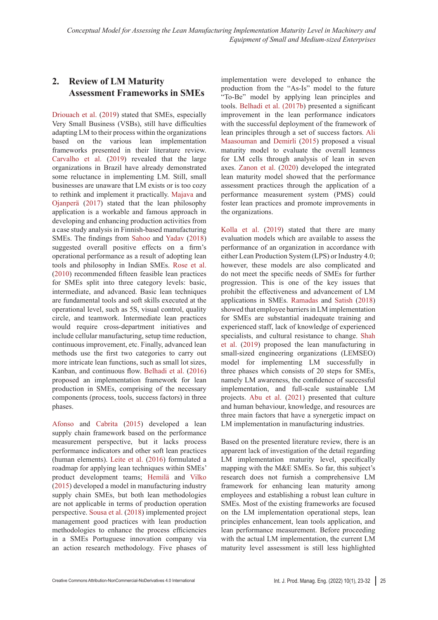# **2. Review of LM Maturity Assessment Frameworks in SMEs**

[Driouach et](#page-8-0) al. (2019) stated that SMEs, especially Very Small Business (VSBs), still have difficulties adapting LM to their process within the organizations based on the various lean implementation frameworks presented in their literature review. [Carvalho et](#page-8-11) al. (2019) revealed that the large organizations in Brazil have already demonstrated some reluctance in implementing LM. Still, small businesses are unaware that LM exists or is too cozy to rethink and implement it practically. [Majava and](#page-8-12) [Ojanperä \(2017\)](#page-8-12) stated that the lean philosophy application is a workable and famous approach in developing and enhancing production activities from a case study analysis in Finnish-based manufacturing SMEs. The findings from [Sahoo and Yadav \(](#page-9-10)2018) suggested overall positive effects on a firm's operational performance as a result of adopting lean tools and philosophy in Indian SMEs. [Rose et](#page-9-11) al. [\(2010](#page-9-11)) recommended fifteen feasible lean practices for SMEs split into three category levels: basic, intermediate, and advanced. Basic lean techniques are fundamental tools and soft skills executed at the operational level, such as 5S, visual control, quality circle, and teamwork. Intermediate lean practices would require cross-department initiatives and include cellular manufacturing, setup time reduction, continuous improvement, etc. Finally, advanced lean methods use the first two categories to carry out more intricate lean functions, such as small lot sizes, Kanban, and continuous flow. [Belhadi et](#page-8-13) al. (2016) proposed an implementation framework for lean production in SMEs, comprising of the necessary components (process, tools, success factors) in three phases.

[Afonso and Cabrita \(](#page-7-2)2015) developed a lean supply chain framework based on the performance measurement perspective, but it lacks process performance indicators and other soft lean practices (human elements). [Leite et](#page-8-14) al. (2016) formulated a roadmap for applying lean techniques within SMEs' product development teams; Hemilä and Vilko (2015) developed a model in manufacturing industry supply chain SMEs, but both lean methodologies are not applicable in terms of production operation perspective. [Sousa et](#page-9-12) al. (2018) implemented project management good practices with lean production methodologies to enhance the process efficiencies in a SMEs Portuguese innovation company via an action research methodology. Five phases of

implementation were developed to enhance the production from the "As-Is" model to the future "To-Be" model by applying lean principles and tools. [Belhadi et](#page-8-15) al. (2017b) presented a significant improvement in the lean performance indicators with the successful deployment of the framework of lean principles through a set of success factors. [Ali](#page-8-9) [Maasouman and Demirli \(](#page-8-9)2015) proposed a visual maturity model to evaluate the overall leanness for LM cells through analysis of lean in seven axes. Zanon et [al. \(2020](#page-9-9)) developed the integrated lean maturity model showed that the performance assessment practices through the application of a performance measurement system (PMS) could foster lean practices and promote improvements in the organizations.

Kolla et [al. \(2019](#page-8-16)) stated that there are many evaluation models which are available to assess the performance of an organization in accordance with either Lean Production System (LPS) or Industry 4.0; however, these models are also complicated and do not meet the specific needs of SMEs for further progression. This is one of the key issues that prohibit the effectiveness and advancement of LM applications in SMEs. Ramadas [and Satish \(](#page-9-13)2018) showed that employee barriers in LM implementation for SMEs are substantial inadequate training and experienced staff, lack of knowledge of experienced specialists, and cultural resistance to change. [Shah](#page-9-14) et [al. \(2019\)](#page-9-14) proposed the lean manufacturing in small-sized engineering organizations (LEMSEO) model for implementing LM successfully in three phases which consists of 20 steps for SMEs, namely LM awareness, the confidence of successful implementation, and full-scale sustainable LM projects. Abu et [al. \(2021](#page-7-3)) presented that culture and human behaviour, knowledge, and resources are three main factors that have a synergetic impact on LM implementation in manufacturing industries.

Based on the presented literature review, there is an apparent lack of investigation of the detail regarding LM implementation maturity level, specifically mapping with the M&E SMEs. So far, this subject's research does not furnish a comprehensive LM framework for enhancing lean maturity among employees and establishing a robust lean culture in SMEs. Most of the existing frameworks are focused on the LM implementation operational steps, lean principles enhancement, lean tools application, and lean performance measurement. Before proceeding with the actual LM implementation, the current LM maturity level assessment is still less highlighted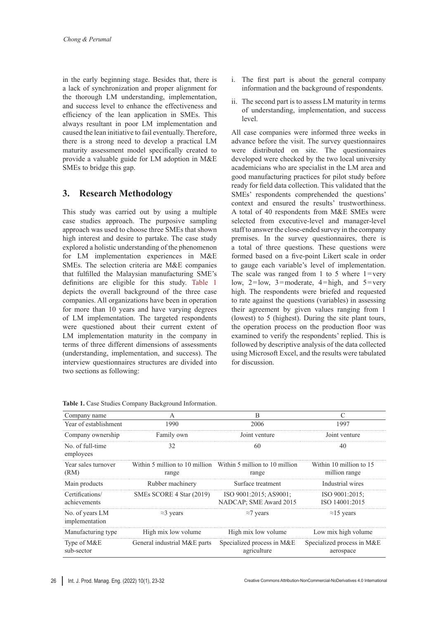in the early beginning stage. Besides that, there is a lack of synchronization and proper alignment for the thorough LM understanding, implementation, and success level to enhance the effectiveness and efficiency of the lean application in SMEs. This always resultant in poor LM implementation and caused the lean initiative to fail eventually. Therefore, there is a strong need to develop a practical LM maturity assessment model specifically created to provide a valuable guide for LM adoption in M&E SMEs to bridge this gap.

### **3. Research Methodology**

This study was carried out by using a multiple case studies approach. The purposive sampling approach was used to choose three SMEs that shown high interest and desire to partake. The case study explored a holistic understanding of the phenomenon for LM implementation experiences in M&E SMEs. The selection criteria are M&E companies that fulfilled the Malaysian manufacturing SME's definitions are eligible for this study. [Table](#page-3-0) 1 depicts the overall background of the three case companies. All organizations have been in operation for more than 10 years and have varying degrees of LM implementation. The targeted respondents were questioned about their current extent of LM implementation maturity in the company in terms of three different dimensions of assessments (understanding, implementation, and success). The interview questionnaires structures are divided into two sections as following:

- i. The first part is about the general company information and the background of respondents.
- ii. The second part is to assess LM maturity in terms of understanding, implementation, and success level.

All case companies were informed three weeks in advance before the visit. The survey questionnaires were distributed on site. The questionnaires developed were checked by the two local university academicians who are specialist in the LM area and good manufacturing practices for pilot study before ready for field data collection. This validated that the SMEs' respondents comprehended the questions' context and ensured the results' trustworthiness. A total of 40 respondents from M&E SMEs were selected from executive-level and manager-level staff to answer the close-ended survey in the company premises. In the survey questionnaires, there is a total of three questions. These questions were formed based on a five-point Likert scale in order to gauge each variable's level of implementation. The scale was ranged from 1 to 5 where  $1 = \text{very}$ low,  $2 =$ low,  $3 =$ moderate,  $4 =$ high, and  $5 =$ very high. The respondents were briefed and requested to rate against the questions (variables) in assessing their agreement by given values ranging from 1 (lowest) to 5 (highest). During the site plant tours, the operation process on the production floor was examined to verify the respondents' replied. This is followed by descriptive analysis of the data collected using Microsoft Excel, and the results were tabulated for discussion.

| Company name                      | A                            | B                                                                      | C                                        |
|-----------------------------------|------------------------------|------------------------------------------------------------------------|------------------------------------------|
| Year of establishment             | 1990                         | 2006                                                                   | 1997                                     |
| Company ownership                 | Family own                   | Joint venture                                                          | Joint venture                            |
| No. of full-time<br>employees     | 32                           | 60                                                                     | 40                                       |
| Year sales turnover<br>(RM)       | range                        | Within 5 million to 10 million Within 5 million to 10 million<br>range | Within 10 million to 15<br>million range |
| Main products                     | Rubber machinery             | Surface treatment                                                      | Industrial wires                         |
| Certifications/<br>achievements   | SMEs SCORE 4 Star (2019)     | ISO 9001:2015; AS9001;<br>NADCAP: SME Award 2015                       | $ISO$ 9001:2015:<br>ISO 14001:2015       |
| No. of years LM<br>implementation | $\approx$ 3 years            | $\approx$ 7 years                                                      | $\approx$ 15 years                       |
| Manufacturing type                | High mix low volume          | High mix low volume                                                    | Low mix high volume                      |
| Type of M&E<br>sub-sector         | General industrial M&E parts | Specialized process in M&E<br>agriculture                              | Specialized process in M&E<br>aerospace  |

<span id="page-3-0"></span>**Table 1.** Case Studies Company Background Information.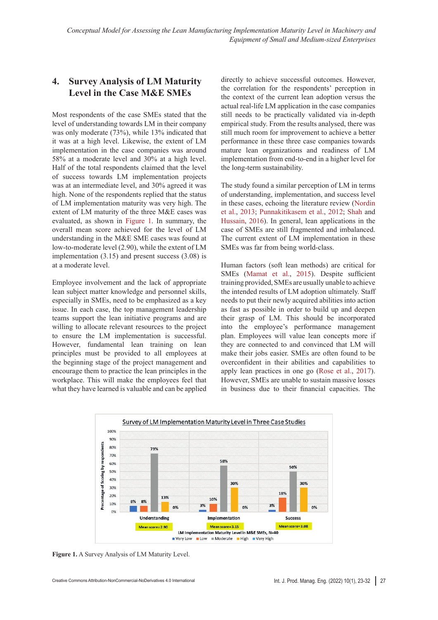# **4. Survey Analysis of LM Maturity Level in the Case M&E SMEs**

Most respondents of the case SMEs stated that the level of understanding towards LM in their company was only moderate (73%), while 13% indicated that it was at a high level. Likewise, the extent of LM implementation in the case companies was around 58% at a moderate level and 30% at a high level. Half of the total respondents claimed that the level of success towards LM implementation projects was at an intermediate level, and 30% agreed it was high. None of the respondents replied that the status of LM implementation maturity was very high. The extent of LM maturity of the three M&E cases was evaluated, as shown in [Figure](#page-4-0) 1. In summary, the overall mean score achieved for the level of LM understanding in the M&E SME cases was found at low-to-moderate level (2.90), while the extent of LM implementation (3.15) and present success (3.08) is at a moderate level.

Employee involvement and the lack of appropriate lean subject matter knowledge and personnel skills, especially in SMEs, need to be emphasized as a key issue. In each case, the top management leadership teams support the lean initiative programs and are willing to allocate relevant resources to the project to ensure the LM implementation is successful. However, fundamental lean training on lean principles must be provided to all employees at the beginning stage of the project management and encourage them to practice the lean principles in the workplace. This will make the employees feel that what they have learned is valuable and can be applied directly to achieve successful outcomes. However, the correlation for the respondents' perception in the context of the current lean adoption versus the actual real-life LM application in the case companies still needs to be practically validated via in-depth empirical study. From the results analysed, there was still much room for improvement to achieve a better performance in these three case companies towards mature lean organizations and readiness of LM implementation from end-to-end in a higher level for the long-term sustainability.

The study found a similar perception of LM in terms of understanding, implementation, and success level in these cases, echoing the literature review ([Nordin](#page-8-4) et [al., 2013;](#page-8-4) [Punnakitikasem et](#page-9-15) al., 2012; [Shah and](#page-9-5) [Hussain, 2016\)](#page-9-5). In general, lean applications in the case of SMEs are still fragmented and imbalanced. The current extent of LM implementation in these SMEs was far from being world-class.

<span id="page-4-0"></span>Human factors (soft lean methods) are critical for SMEs [\(Mamat et](#page-8-17) al., 2015). Despite sufficient training provided, SMEs are usually unable to achieve the intended results of LM adoption ultimately. Staff needs to put their newly acquired abilities into action as fast as possible in order to build up and deepen their grasp of LM. This should be incorporated into the employee's performance management plan. Employees will value lean concepts more if they are connected to and convinced that LM will make their jobs easier. SMEs are often found to be overconfident in their abilities and capabilities to apply lean practices in one go ([Rose et](#page-9-16) al., 2017). However, SMEs are unable to sustain massive losses in business due to their financial capacities. The



**Figure 1.** A Survey Analysis of LM Maturity Level.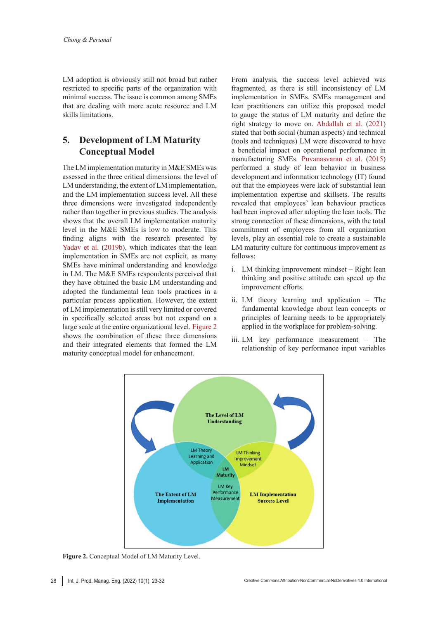LM adoption is obviously still not broad but rather restricted to specific parts of the organization with minimal success. The issue is common among SMEs that are dealing with more acute resource and LM skills limitations.

## **5. Development of LM Maturity Conceptual Model**

The LM implementation maturity in M&E SMEs was assessed in the three critical dimensions: the level of LM understanding, the extent of LM implementation, and the LM implementation success level. All these three dimensions were investigated independently rather than together in previous studies. The analysis shows that the overall LM implementation maturity level in the M&E SMEs is low to moderate. This finding aligns with the research presented by Yadav et [al. \(2019b\)](#page-9-7), which indicates that the lean implementation in SMEs are not explicit, as many SMEs have minimal understanding and knowledge in LM. The M&E SMEs respondents perceived that they have obtained the basic LM understanding and adopted the fundamental lean tools practices in a particular process application. However, the extent of LM implementation is still very limited or covered in specifically selected areas but not expand on a large scale at the entire organizational level. [Figure](#page-5-0) 2 shows the combination of these three dimensions and their integrated elements that formed the LM maturity conceptual model for enhancement.

From analysis, the success level achieved was fragmented, as there is still inconsistency of LM implementation in SMEs. SMEs management and lean practitioners can utilize this proposed model to gauge the status of LM maturity and define the right strategy to move on. [Abdallah et](#page-7-4) al. (2021) stated that both social (human aspects) and technical (tools and techniques) LM were discovered to have a beneficial impact on operational performance in manufacturing SMEs. [Puvanasvaran et](#page-9-17) al. (2015) performed a study of lean behavior in business development and information technology (IT) found out that the employees were lack of substantial lean implementation expertise and skillsets. The results revealed that employees' lean behaviour practices had been improved after adopting the lean tools. The strong connection of these dimensions, with the total commitment of employees from all organization levels, play an essential role to create a sustainable LM maturity culture for continuous improvement as follows:

- i. LM thinking improvement mindset Right lean thinking and positive attitude can speed up the improvement efforts.
- ii. LM theory learning and application The fundamental knowledge about lean concepts or principles of learning needs to be appropriately applied in the workplace for problem-solving.
- <span id="page-5-0"></span>iii. LM key performance measurement – The relationship of key performance input variables



**Figure 2.** Conceptual Model of LM Maturity Level.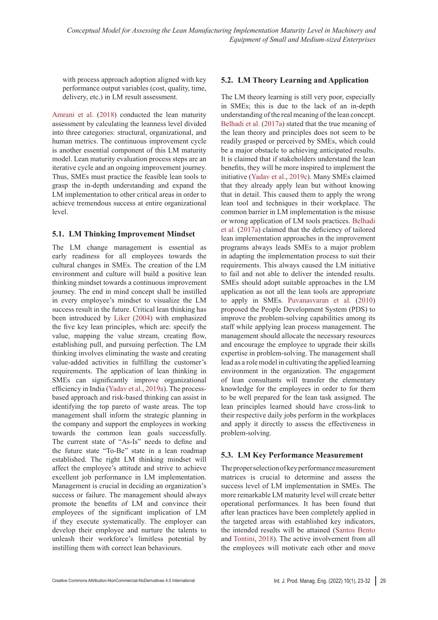with process approach adoption aligned with key performance output variables (cost, quality, time, delivery, etc.) in LM result assessment.

[Amrani et](#page-8-18) al. (2018) conducted the lean maturity assessment by calculating the leanness level divided into three categories: structural, organizational, and human metrics. The continuous improvement cycle is another essential component of this LM maturity model. Lean maturity evaluation process steps are an iterative cycle and an ongoing improvement journey. Thus, SMEs must practice the feasible lean tools to grasp the in-depth understanding and expand the LM implementation to other critical areas in order to achieve tremendous success at entire organizational level.

### **5.1. LM Thinking Improvement Mindset**

The LM change management is essential as early readiness for all employees towards the cultural changes in SMEs. The creation of the LM environment and culture will build a positive lean thinking mindset towards a continuous improvement journey. The end in mind concept shall be instilled in every employee's mindset to visualize the LM success result in the future. Critical lean thinking has been introduced by [Liker](#page-8-1) (2004) with emphasized the five key lean principles, which are: specify the value, mapping the value stream, creating flow, establishing pull, and pursuing perfection. The LM thinking involves eliminating the waste and creating value-added activities in fulfilling the customer's requirements. The application of lean thinking in SMEs can significantly improve organizational efficiency in India (Yadav et [al., 2019a](#page-9-18)). The processbased approach and risk-based thinking can assist in identifying the top pareto of waste areas. The top management shall inform the strategic planning in the company and support the employees in working towards the common lean goals successfully. The current state of "As-Is" needs to define and the future state "To-Be" state in a lean roadmap established. The right LM thinking mindset will affect the employee's attitude and strive to achieve excellent job performance in LM implementation. Management is crucial in deciding an organization's success or failure. The management should always promote the benefits of LM and convince their employees of the significant implication of LM if they execute systematically. The employer can develop their employee and nurture the talents to unleash their workforce's limitless potential by instilling them with correct lean behaviours.

### **5.2. LM Theory Learning and Application**

The LM theory learning is still very poor, especially in SMEs; this is due to the lack of an in-depth understanding of the real meaning of the lean concept. [Belhadi et](#page-8-19) al. (2017a) stated that the true meaning of the lean theory and principles does not seem to be readily grasped or perceived by SMEs, which could be a major obstacle to achieving anticipated results. It is claimed that if stakeholders understand the lean benefits, they will be more inspired to implement the initiative (Yadav et [al., 2019c\)](#page-9-19). Many SMEs claimed that they already apply lean but without knowing that in detail. This caused them to apply the wrong lean tool and techniques in their workplace. The common barrier in LM implementation is the misuse or wrong application of LM tools practices. [Belhadi](#page-8-19) et [al. \(2017](#page-8-19)a) claimed that the deficiency of tailored lean implementation approaches in the improvement programs always leads SMEs to a major problem in adapting the implementation process to suit their requirements. This always caused the LM initiative to fail and not able to deliver the intended results. SMEs should adopt suitable approaches in the LM application as not all the lean tools are appropriate to apply in SMEs. [Puvanasvaran et](#page-9-20) al. (2010) proposed the People Development System (PDS) to improve the problem-solving capabilities among its staff while applying lean process management. The management should allocate the necessary resources and encourage the employee to upgrade their skills expertise in problem-solving. The management shall lead as a role model in cultivating the applied learning environment in the organization. The engagement of lean consultants will transfer the elementary knowledge for the employees in order to for them to be well prepared for the lean task assigned. The lean principles learned should have cross-link to their respective daily jobs perform in the workplaces and apply it directly to assess the effectiveness in problem-solving.

#### **5.3. LM Key Performance Measurement**

The proper selection of key performance measurement matrices is crucial to determine and assess the success level of LM implementation in SMEs. The more remarkable LM maturity level will create better operational performances. It has been found that after lean practices have been completely applied in the targeted areas with established key indicators, the intended results will be attained ([Santos Bento](#page-9-21) [and Tontini,](#page-9-21) 2018). The active involvement from all the employees will motivate each other and move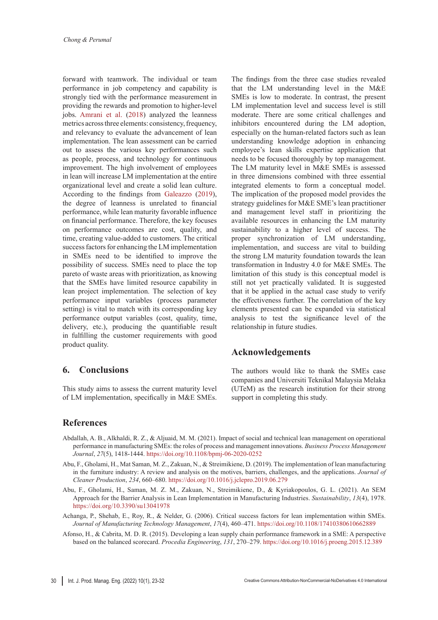forward with teamwork. The individual or team performance in job competency and capability is strongly tied with the performance measurement in providing the rewards and promotion to higher-level jobs. [Amrani et](#page-8-18) al. (2018) analyzed the leanness metrics across three elements: consistency, frequency, and relevancy to evaluate the advancement of lean implementation. The lean assessment can be carried out to assess the various key performances such as people, process, and technology for continuous improvement. The high involvement of employees in lean will increase LM implementation at the entire organizational level and create a solid lean culture. According to the findings from [Galeazzo \(2019\)](#page-8-20), the degree of leanness is unrelated to financial performance, while lean maturity favorable influence on financial performance. Therefore, the key focuses on performance outcomes are cost, quality, and time, creating value-added to customers. The critical success factors for enhancing the LM implementation in SMEs need to be identified to improve the possibility of success. SMEs need to place the top pareto of waste areas with prioritization, as knowing that the SMEs have limited resource capability in lean project implementation. The selection of key performance input variables (process parameter setting) is vital to match with its corresponding key performance output variables (cost, quality, time, delivery, etc.), producing the quantifiable result in fulfilling the customer requirements with good product quality.

### **6. Conclusions**

This study aims to assess the current maturity level of LM implementation, specifically in M&E SMEs.

The findings from the three case studies revealed that the LM understanding level in the M&E SMEs is low to moderate. In contrast, the present LM implementation level and success level is still moderate. There are some critical challenges and inhibitors encountered during the LM adoption, especially on the human-related factors such as lean understanding knowledge adoption in enhancing employee's lean skills expertise application that needs to be focused thoroughly by top management. The LM maturity level in M&E SMEs is assessed in three dimensions combined with three essential integrated elements to form a conceptual model. The implication of the proposed model provides the strategy guidelines for M&E SME's lean practitioner and management level staff in prioritizing the available resources in enhancing the LM maturity sustainability to a higher level of success. The proper synchronization of LM understanding, implementation, and success are vital to building the strong LM maturity foundation towards the lean transformation in Industry 4.0 for M&E SMEs. The limitation of this study is this conceptual model is still not yet practically validated. It is suggested that it be applied in the actual case study to verify the effectiveness further. The correlation of the key elements presented can be expanded via statistical analysis to test the significance level of the relationship in future studies.

### **Acknowledgements**

The authors would like to thank the SMEs case companies and Universiti Teknikal Malaysia Melaka (UTeM) as the research institution for their strong support in completing this study.

### **References**

- <span id="page-7-4"></span>Abdallah, A. B., Alkhaldi, R. Z., & Aljuaid, M. M. (2021). Impact of social and technical lean management on operational performance in manufacturing SMEs: the roles of process and management innovations. *Business Process Management Journal*, *27*(5), 1418-1444.<https://doi.org/10.1108/bpmj-06-2020-0252>
- <span id="page-7-1"></span>Abu, F., Gholami, H., Mat Saman, M. Z., Zakuan, N., & Streimikiene, D. (2019). The implementation of lean manufacturing in the furniture industry: A review and analysis on the motives, barriers, challenges, and the applications. *Journal of Cleaner Production*, *234*, 660–680.<https://doi.org/10.1016/j.jclepro.2019.06.279>
- <span id="page-7-3"></span>Abu, F., Gholami, H., Saman, M. Z. M., Zakuan, N., Streimikiene, D., & Kyriakopoulos, G. L. (2021). An SEM Approach for the Barrier Analysis in Lean Implementation in Manufacturing Industries. *Sustainability*, *13*(4), 1978. <https://doi.org/10.3390/su13041978>
- <span id="page-7-0"></span>Achanga, P., Shehab, E., Roy, R., & Nelder, G. (2006). Critical success factors for lean implementation within SMEs. *Journal of Manufacturing Technology Management*, *17*(4), 460–471. <https://doi.org/10.1108/17410380610662889>
- <span id="page-7-2"></span>Afonso, H., & Cabrita, M. D. R. (2015). Developing a lean supply chain performance framework in a SME: A perspective based on the balanced scorecard. *Procedia Engineering*, *131*, 270–279. <https://doi.org/10.1016/j.proeng.2015.12.389>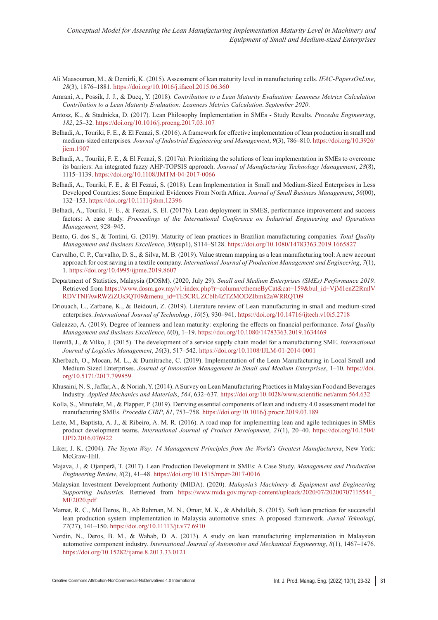- <span id="page-8-9"></span>Ali Maasouman, M., & Demirli, K. (2015). Assessment of lean maturity level in manufacturing cells. *IFAC-PapersOnLine*, *28*(3), 1876–1881.<https://doi.org/10.1016/j.ifacol.2015.06.360>
- <span id="page-8-18"></span>Amrani, A., Possik, J. J., & Ducq, Y. (2018). *Contribution to a Lean Maturity Evaluation: Leanness Metrics Calculation Contribution to a Lean Maturity Evaluation: Leanness Metrics Calculation*. *September 2020*.
- <span id="page-8-7"></span>Antosz, K., & Stadnicka, D. (2017). Lean Philosophy Implementation in SMEs - Study Results. *Procedia Engineering*, *182*, 25–32.<https://doi.org/10.1016/j.proeng.2017.03.107>
- <span id="page-8-13"></span>Belhadi, A., Touriki, F. E., & El Fezazi, S. (2016). A framework for effective implementation of lean production in small and medium-sized enterprises. *Journal of Industrial Engineering and Management*, *9*(3), 786–810. [https://doi.org/10.3926/](https://doi.org/10.3926/jiem.1907) iiem. 1907
- <span id="page-8-19"></span>Belhadi, A., Touriki, F. E., & El Fezazi, S. (2017a). Prioritizing the solutions of lean implementation in SMEs to overcome its barriers: An integrated fuzzy AHP-TOPSIS approach. *Journal of Manufacturing Technology Management*, *28*(8), 1115–1139.<https://doi.org/10.1108/JMTM-04-2017-0066>
- <span id="page-8-8"></span>Belhadi, A., Touriki, F. E., & El Fezazi, S. (2018). Lean Implementation in Small and Medium-Sized Enterprises in Less Developed Countries: Some Empirical Evidences From North Africa. *Journal of Small Business Management*, *56*(00), 132–153.<https://doi.org/10.1111/jsbm.12396>
- <span id="page-8-15"></span>Belhadi, A., Touriki, F. E., & Fezazi, S. El. (2017b). Lean deployment in SMES, performance improvement and success factors: A case study. *Proceedings of the International Conference on Industrial Engineering and Operations Management*, 928–945.
- <span id="page-8-10"></span>Bento, G. dos S., & Tontini, G. (2019). Maturity of lean practices in Brazilian manufacturing companies. *Total Quality Management and Business Excellence*, *30*(sup1), S114–S128.<https://doi.org/10.1080/14783363.2019.1665827>
- <span id="page-8-11"></span>Carvalho, C. P., Carvalho, D. S., & Silva, M. B. (2019). Value stream mapping as a lean manufacturing tool: A new account approach for cost saving in a textile company. *International Journal of Production Management and Engineering*, *7*(1), 1. <https://doi.org/10.4995/ijpme.2019.8607>
- <span id="page-8-2"></span>Department of Statistics, Malaysia (DOSM). (2020, July 29). *Small and Medium Enterprises (SMEs) Performance 2019.*  Retrieved from [https://www.dosm.gov.my/v1/index.php?r=column/cthemeByCat&cat=159&bul\\_id=VjM1enZ2RmlV](https://www.dosm.gov.my/v1/index.php?r=column/cthemeByCat&cat=159&bul_id=VjM1enZ2RmlVRDVTNFAwRWZiZUs3QT09&menu_id=TE5CRUZCblh4ZTZMODZIbmk2aWRRQT09) [RDVTNFAwRWZiZUs3QT09&menu\\_id=TE5CRUZCblh4ZTZMODZIbmk2aWRRQT09](https://www.dosm.gov.my/v1/index.php?r=column/cthemeByCat&cat=159&bul_id=VjM1enZ2RmlVRDVTNFAwRWZiZUs3QT09&menu_id=TE5CRUZCblh4ZTZMODZIbmk2aWRRQT09)
- <span id="page-8-0"></span>Driouach, L., Zarbane, K., & Beidouri, Z. (2019). Literature review of Lean manufacturing in small and medium-sized enterprises. *International Journal of Technology*, *10*(5), 930–941.<https://doi.org/10.14716/ijtech.v10i5.2718>
- <span id="page-8-20"></span>Galeazzo, A. (2019). Degree of leanness and lean maturity: exploring the effects on financial performance. *Total Quality Management and Business Excellence*, *0*(0), 1–19.<https://doi.org/10.1080/14783363.2019.1634469>
- Hemilä, J., & Vilko, J. (2015). The development of a service supply chain model for a manufacturing SME. *International Journal of Logistics Management*, *26*(3), 517–542. <https://doi.org/10.1108/IJLM-01-2014-0001>
- <span id="page-8-6"></span>Kherbach, O., Mocan, M. L., & Dumitrache, C. (2019). Implementation of the Lean Manufacturing in Local Small and Medium Sized Enterprises. *Journal of Innovation Management in Small and Medium Enterprises*, 1–10. [https://doi.](https://doi.org/10.5171/2017.799859) [org/10.5171/2017.799859](https://doi.org/10.5171/2017.799859)
- <span id="page-8-3"></span>Khusaini, N. S., Jaffar, A., & Noriah, Y. (2014). A Survey on Lean Manufacturing Practices in Malaysian Food and Beverages Industry. *Applied Mechanics and Materials*, *564*, 632–637. <https://doi.org/10.4028/www.scientific.net/amm.564.632>
- <span id="page-8-16"></span>Kolla, S., Minufekr, M., & Plapper, P. (2019). Deriving essential components of lean and industry 4.0 assessment model for manufacturing SMEs. *Procedia CIRP*, *81*, 753–758.<https://doi.org/10.1016/j.procir.2019.03.189>
- <span id="page-8-14"></span>Leite, M., Baptista, A. J., & Ribeiro, A. M. R. (2016). A road map for implementing lean and agile techniques in SMEs product development teams. *International Journal of Product Development*, *21*(1), 20–40. [https://doi.org/10.1504/](https://doi.org/10.1504/IJPD.2016.076922) [IJPD.2016.076922](https://doi.org/10.1504/IJPD.2016.076922)
- <span id="page-8-1"></span>Liker, J. K. (2004). *The Toyota Way: 14 Management Principles from the World's Greatest Manufacturers*, New York: McGraw-Hill.
- <span id="page-8-12"></span>Majava, J., & Ojanperä, T. (2017). Lean Production Development in SMEs: A Case Study. *Management and Production Engineering Review*, *8*(2), 41–48. <https://doi.org/10.1515/mper-2017-0016>
- <span id="page-8-5"></span>Malaysian Investment Development Authority (MIDA). (2020). *Malaysia's Machinery & Equipment and Engineering Supporting Industries.* Retrieved from [https://www.mida.gov.my/wp-content/uploads/2020/07/20200707115544\\_](https://www.mida.gov.my/wp-content/uploads/2020/07/20200707115544_ME2020.pdf) [ME2020.pdf](https://www.mida.gov.my/wp-content/uploads/2020/07/20200707115544_ME2020.pdf)
- <span id="page-8-17"></span>Mamat, R. C., Md Deros, B., Ab Rahman, M. N., Omar, M. K., & Abdullah, S. (2015). Soft lean practices for successful lean production system implementation in Malaysia automotive smes: A proposed framework. *Jurnal Teknologi*, *77*(27), 141–150. <https://doi.org/10.11113/jt.v77.6910>
- <span id="page-8-4"></span>Nordin, N., Deros, B. M., & Wahab, D. A. (2013). A study on lean manufacturing implementation in Malaysian automotive component industry. *International Journal of Automotive and Mechanical Engineering*, *8*(1), 1467–1476. <https://doi.org/10.15282/ijame.8.2013.33.0121>